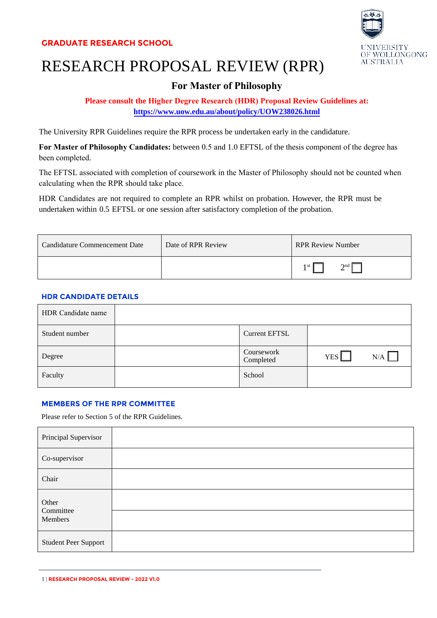

# RESEARCH PROPOSAL REVIEW (RPR)

# **For Master of Philosophy**

# **Please consult the Higher Degree Research (HDR) Proposal Review Guidelines at: h[ttps://www.uow.edu.au/about/policy/UOW238026.ht](https://www.uow.edu.au/about/policy/UOW238026.html)ml**

The University RPR Guidelines require the RPR process be undertaken early in the candidature.

**For Master of Philosophy Candidates:** between 0.5 and 1.0 EFTSL of the thesis component of the degree has been completed.

The EFTSL associated with completion of coursework in the Master of Philosophy should not be counted when calculating when the RPR should take place.

HDR Candidates are not required to complete an RPR whilst on probation. However, the RPR must be undertaken within 0.5 EFTSL or one session after satisfactory completion of the probation.

| Candidature Commencement Date | Date of RPR Review | <b>RPR Review Number</b> |
|-------------------------------|--------------------|--------------------------|
|                               |                    | $\gamma$ nd  <br>1 st II |

## **HDR CANDIDATE DETAILS**

| HDR Candidate name |                         |            |     |
|--------------------|-------------------------|------------|-----|
| Student number     | <b>Current EFTSL</b>    |            |     |
| Degree             | Coursework<br>Completed | <b>YES</b> | N/A |
| Faculty            | School                  |            |     |

#### **MEMBERS OF THE RPR COMMITTEE**

Please refer to Section 5 of the RPR Guidelines.

| Principal Supervisor          |  |
|-------------------------------|--|
| Co-supervisor                 |  |
| Chair                         |  |
| Other<br>Committee<br>Members |  |
| <b>Student Peer Support</b>   |  |

<sup>1</sup> | **RESEARCH PROPOSAL REVIEW - 2022 V1.0**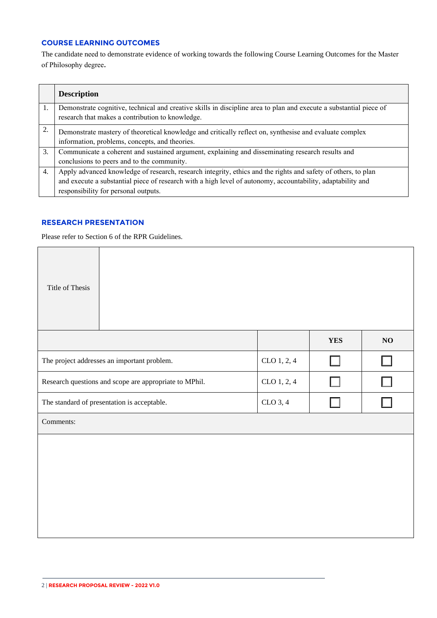# **COURSE LEARNING OUTCOMES**

The candidate need to demonstrate evidence of working towards the following Course Learning Outcomes for the Master of Philosophy degree.

|    | <b>Description</b>                                                                                                                                                                                                                                                   |
|----|----------------------------------------------------------------------------------------------------------------------------------------------------------------------------------------------------------------------------------------------------------------------|
| 1. | Demonstrate cognitive, technical and creative skills in discipline area to plan and execute a substantial piece of<br>research that makes a contribution to knowledge.                                                                                               |
| 2. | Demonstrate mastery of theoretical knowledge and critically reflect on, synthesise and evaluate complex<br>information, problems, concepts, and theories.                                                                                                            |
| 3. | Communicate a coherent and sustained argument, explaining and disseminating research results and<br>conclusions to peers and to the community.                                                                                                                       |
| 4. | Apply advanced knowledge of research, research integrity, ethics and the rights and safety of others, to plan<br>and execute a substantial piece of research with a high level of autonomy, accountability, adaptability and<br>responsibility for personal outputs. |

#### **RESEARCH PRESENTATION**

Please refer to Section 6 of the RPR Guidelines.

| Title of Thesis                                                       |                                             |             |            |    |
|-----------------------------------------------------------------------|---------------------------------------------|-------------|------------|----|
|                                                                       |                                             |             | <b>YES</b> | NO |
|                                                                       | The project addresses an important problem. | CLO 1, 2, 4 |            | ΙI |
| Research questions and scope are appropriate to MPhil.<br>CLO 1, 2, 4 |                                             |             |            |    |
| CLO 3, 4<br>The standard of presentation is acceptable.               |                                             |             |            |    |
| Comments:                                                             |                                             |             |            |    |
|                                                                       |                                             |             |            |    |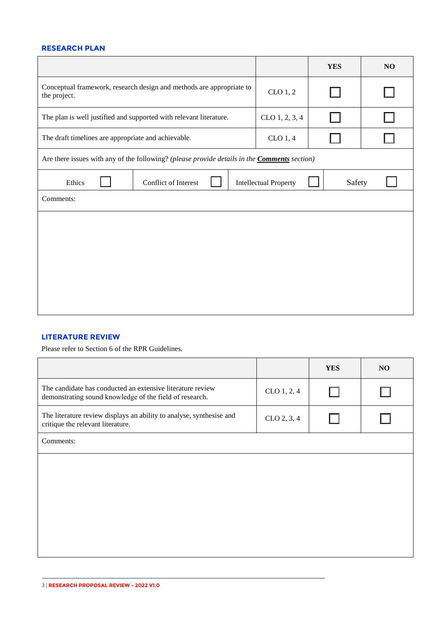#### **RESEARCH PLAN**

|                                                                                                     |                                                                      |  |                | <b>YES</b> | NO     |
|-----------------------------------------------------------------------------------------------------|----------------------------------------------------------------------|--|----------------|------------|--------|
| the project.                                                                                        | Conceptual framework, research design and methods are appropriate to |  | CLO 1, 2       |            |        |
|                                                                                                     | The plan is well justified and supported with relevant literature.   |  | CLO 1, 2, 3, 4 |            | $\Box$ |
| The draft timelines are appropriate and achievable.                                                 |                                                                      |  | CLO 1, 4       |            |        |
| Are there issues with any of the following? (please provide details in the <b>Comments</b> section) |                                                                      |  |                |            |        |
| Ethics                                                                                              | Conflict of Interest<br><b>Intellectual Property</b><br>Safety       |  |                |            |        |
| Comments:                                                                                           |                                                                      |  |                |            |        |
|                                                                                                     |                                                                      |  |                |            |        |
|                                                                                                     |                                                                      |  |                |            |        |
|                                                                                                     |                                                                      |  |                |            |        |
|                                                                                                     |                                                                      |  |                |            |        |
|                                                                                                     |                                                                      |  |                |            |        |

#### **LITERATURE REVIEW**

Please refer to Section 6 of the RPR Guidelines.

|                                                                                                                       |             | <b>YES</b> | NO |
|-----------------------------------------------------------------------------------------------------------------------|-------------|------------|----|
| The candidate has conducted an extensive literature review<br>demonstrating sound knowledge of the field of research. | CLO 1, 2, 4 |            |    |
| The literature review displays an ability to analyse, synthesise and<br>critique the relevant literature.             | CLO 2, 3, 4 |            |    |
| Comments:                                                                                                             |             |            |    |
|                                                                                                                       |             |            |    |
|                                                                                                                       |             |            |    |
|                                                                                                                       |             |            |    |
|                                                                                                                       |             |            |    |
|                                                                                                                       |             |            |    |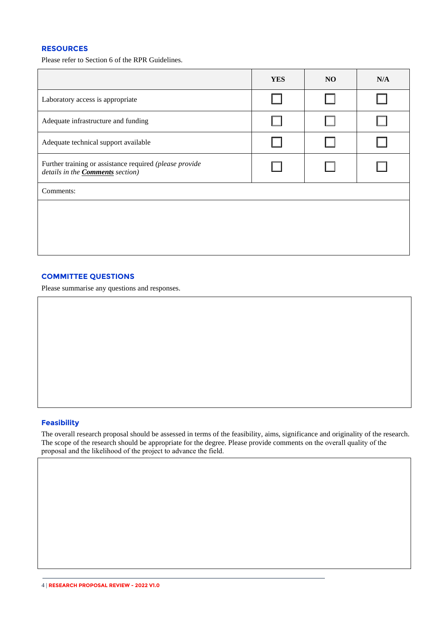### **RESOURCES**

Please refer to Section 6 of the RPR Guidelines.

|                                                                                                    | <b>YES</b> | NO | N/A |
|----------------------------------------------------------------------------------------------------|------------|----|-----|
| Laboratory access is appropriate                                                                   |            |    |     |
| Adequate infrastructure and funding                                                                |            |    |     |
| Adequate technical support available                                                               |            |    |     |
| Further training or assistance required (please provide<br>details in the <b>Comments</b> section) |            |    |     |
| Comments:                                                                                          |            |    |     |
|                                                                                                    |            |    |     |
|                                                                                                    |            |    |     |
|                                                                                                    |            |    |     |

#### **COMMITTEE QUESTIONS**

Please summarise any questions and responses.

#### **Feasibility**

The overall research proposal should be assessed in terms of the feasibility, aims, significance and originality of the research. The scope of the research should be appropriate for the degree. Please provide comments on the overall quality of the proposal and the likelihood of the project to advance the field.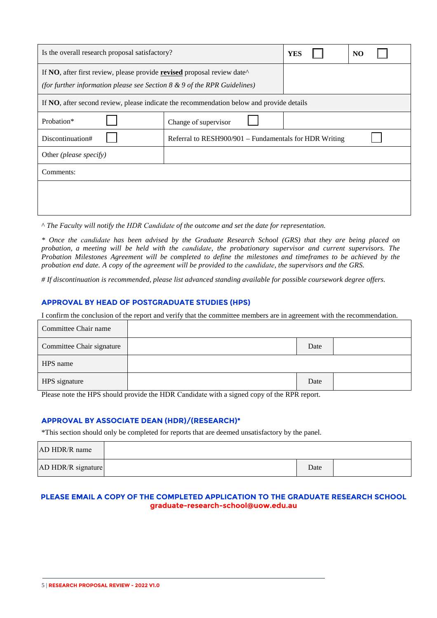| Is the overall research proposal satisfactory?                                                                                                                                              | <b>YES</b>                                             | N <sub>O</sub> |  |  |  |
|---------------------------------------------------------------------------------------------------------------------------------------------------------------------------------------------|--------------------------------------------------------|----------------|--|--|--|
| If NO, after first review, please provide <b>revised</b> proposal review date <sup><math>\wedge</math></sup><br>(for further information please see Section $8 \& 9$ of the RPR Guidelines) |                                                        |                |  |  |  |
| If <b>NO</b> , after second review, please indicate the recommendation below and provide details                                                                                            |                                                        |                |  |  |  |
| Probation*                                                                                                                                                                                  | Change of supervisor                                   |                |  |  |  |
| Discontinuation#                                                                                                                                                                            | Referral to RESH900/901 – Fundamentals for HDR Writing |                |  |  |  |
| Other (please specify)                                                                                                                                                                      |                                                        |                |  |  |  |
| Comments:                                                                                                                                                                                   |                                                        |                |  |  |  |
|                                                                                                                                                                                             |                                                        |                |  |  |  |
|                                                                                                                                                                                             |                                                        |                |  |  |  |

^ *The Faculty will notify the HDR Candidate of the outcome and set the date for representation.* 

*\* Once the candidate has been advised by the Graduate Research School (GRS) that they are being placed on probation, a meeting will be held with the candidate, the probationary supervisor and current supervisors. The Probation Milestones Agreement will be completed to define the milestones and timeframes to be achieved by the probation end date. A copy of the agreement will be provided to the candidate, the supervisors and the GRS.*

*# If discontinuation is recommended, please list advanced standing available for possible coursework degree offers.* 

#### **APPROVAL BY HEAD OF POSTGRADUATE STUDIES (HPS)**

I confirm the conclusion of the report and verify that the committee members are in agreement with the recommendation.

| Committee Chair name      |      |  |
|---------------------------|------|--|
| Committee Chair signature | Date |  |
| HPS name                  |      |  |
| HPS signature             | Date |  |

Please note the HPS should provide the HDR Candidate with a signed copy of the RPR report.

#### **APPROVAL BY ASSOCIATE DEAN (HDR)/(RESEARCH)\***

\*This section should only be completed for reports that are deemed unsatisfactory by the panel.

| AD HDR/R name      |      |  |
|--------------------|------|--|
| AD HDR/R signature | Date |  |

#### **PLEASE EMAIL A COPY OF THE COMPLETED APPLICATION TO THE GRADUATE RESEARCH SCHOOL graduate-research-school@uow.edu.au**